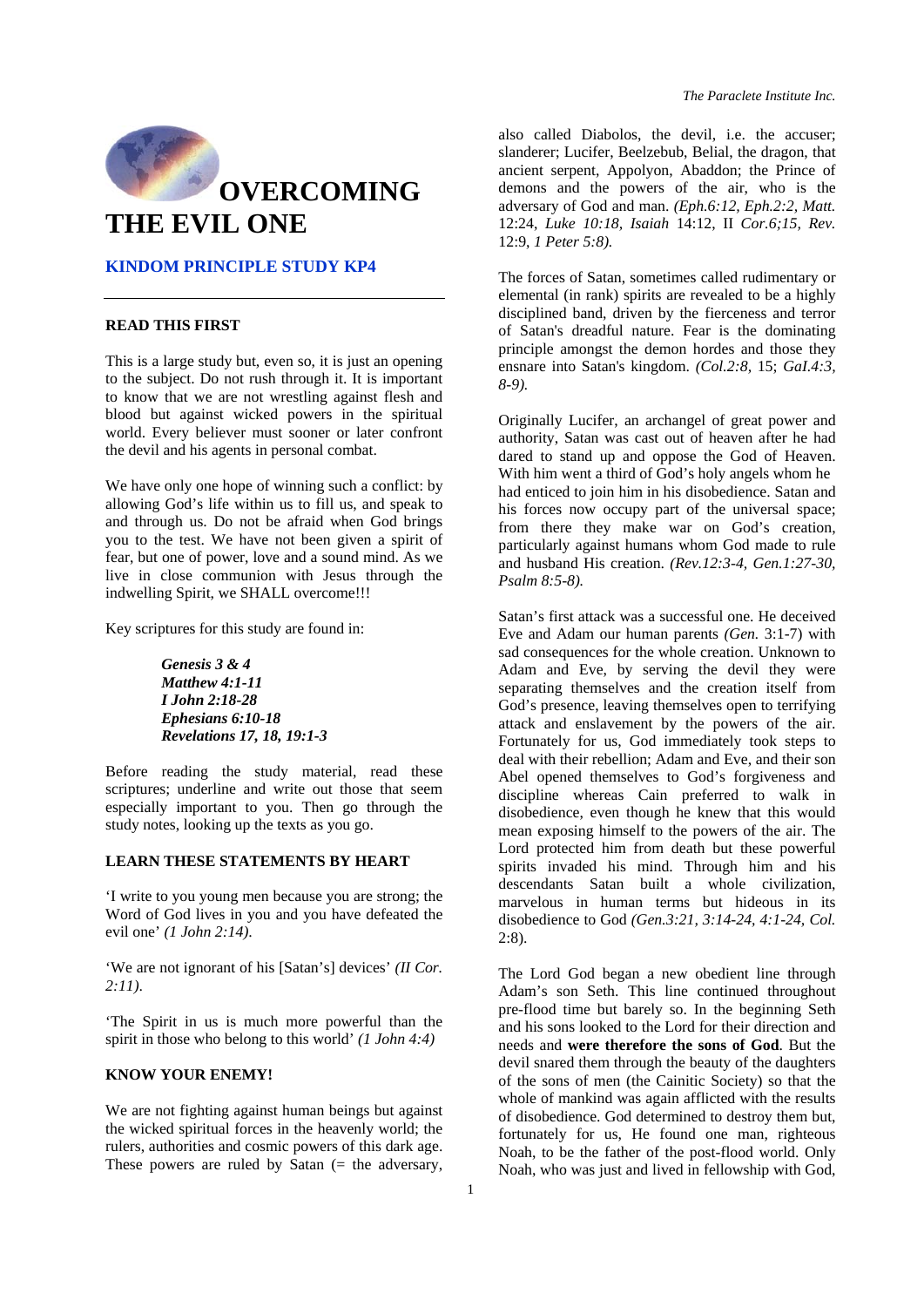

## **KINDOM PRINCIPLE STUDY KP4**

#### **READ THIS FIRST**

This is a large study but, even so, it is just an opening to the subject. Do not rush through it. It is important to know that we are not wrestling against flesh and blood but against wicked powers in the spiritual world. Every believer must sooner or later confront the devil and his agents in personal combat.

We have only one hope of winning such a conflict: by allowing God's life within us to fill us, and speak to and through us. Do not be afraid when God brings you to the test. We have not been given a spirit of fear, but one of power, love and a sound mind. As we live in close communion with Jesus through the indwelling Spirit, we SHALL overcome!!!

Key scriptures for this study are found in:

### *Genesis 3 & 4 Matthew 4:1-11 I John 2:18-28 Ephesians 6:10-18 Revelations 17, 18, 19:1-3*

Before reading the study material, read these scriptures; underline and write out those that seem especially important to you. Then go through the study notes, looking up the texts as you go.

# **LEARN THESE STATEMENTS BY HEART**

'I write to you young men because you are strong; the Word of God lives in you and you have defeated the evil one' *(1 John 2:14)*.

'We are not ignorant of his [Satan's] devices' *(II Cor. 2:11)*.

'The Spirit in us is much more powerful than the spirit in those who belong to this world' *(1 John 4:4)* 

#### **KNOW YOUR ENEMY!**

We are not fighting against human beings but against the wicked spiritual forces in the heavenly world; the rulers, authorities and cosmic powers of this dark age. These powers are ruled by Satan  $(=$  the adversary,

*The Paraclete Institute Inc.* 

also called Diabolos, the devil, i.e. the accuser; slanderer; Lucifer, Beelzebub, Belial, the dragon, that ancient serpent, Appolyon, Abaddon; the Prince of demons and the powers of the air, who is the adversary of God and man. *(Eph.6:12, Eph.2:2, Matt.*  12:24, *Luke 10:18, Isaiah* 14:12, II *Cor.6;15, Rev.*  12:9, *1 Peter 5:8).* 

The forces of Satan, sometimes called rudimentary or elemental (in rank) spirits are revealed to be a highly disciplined band, driven by the fierceness and terror of Satan's dreadful nature. Fear is the dominating principle amongst the demon hordes and those they ensnare into Satan's kingdom. *(Col.2:8,* 15; *GaI.4:3, 8-9).* 

Originally Lucifer, an archangel of great power and authority, Satan was cast out of heaven after he had dared to stand up and oppose the God of Heaven. With him went a third of God's holy angels whom he had enticed to join him in his disobedience. Satan and his forces now occupy part of the universal space; from there they make war on God's creation, particularly against humans whom God made to rule and husband His creation. *(Rev.12:3-4, Gen.1:27-30, Psalm 8:5-8).* 

Satan's first attack was a successful one. He deceived Eve and Adam our human parents *(Gen.* 3:1-7) with sad consequences for the whole creation. Unknown to Adam and Eve, by serving the devil they were separating themselves and the creation itself from God's presence, leaving themselves open to terrifying attack and enslavement by the powers of the air. Fortunately for us, God immediately took steps to deal with their rebellion; Adam and Eve, and their son Abel opened themselves to God's forgiveness and discipline whereas Cain preferred to walk in disobedience, even though he knew that this would mean exposing himself to the powers of the air. The Lord protected him from death but these powerful spirits invaded his mind. Through him and his descendants Satan built a whole civilization, marvelous in human terms but hideous in its disobedience to God *(Gen.3:21, 3:14-24, 4:1-24, Col.*  2:8).

The Lord God began a new obedient line through Adam's son Seth. This line continued throughout pre-flood time but barely so. In the beginning Seth and his sons looked to the Lord for their direction and needs and **were therefore the sons of God**. But the devil snared them through the beauty of the daughters of the sons of men (the Cainitic Society) so that the whole of mankind was again afflicted with the results of disobedience. God determined to destroy them but, fortunately for us, He found one man, righteous Noah, to be the father of the post-flood world. Only Noah, who was just and lived in fellowship with God,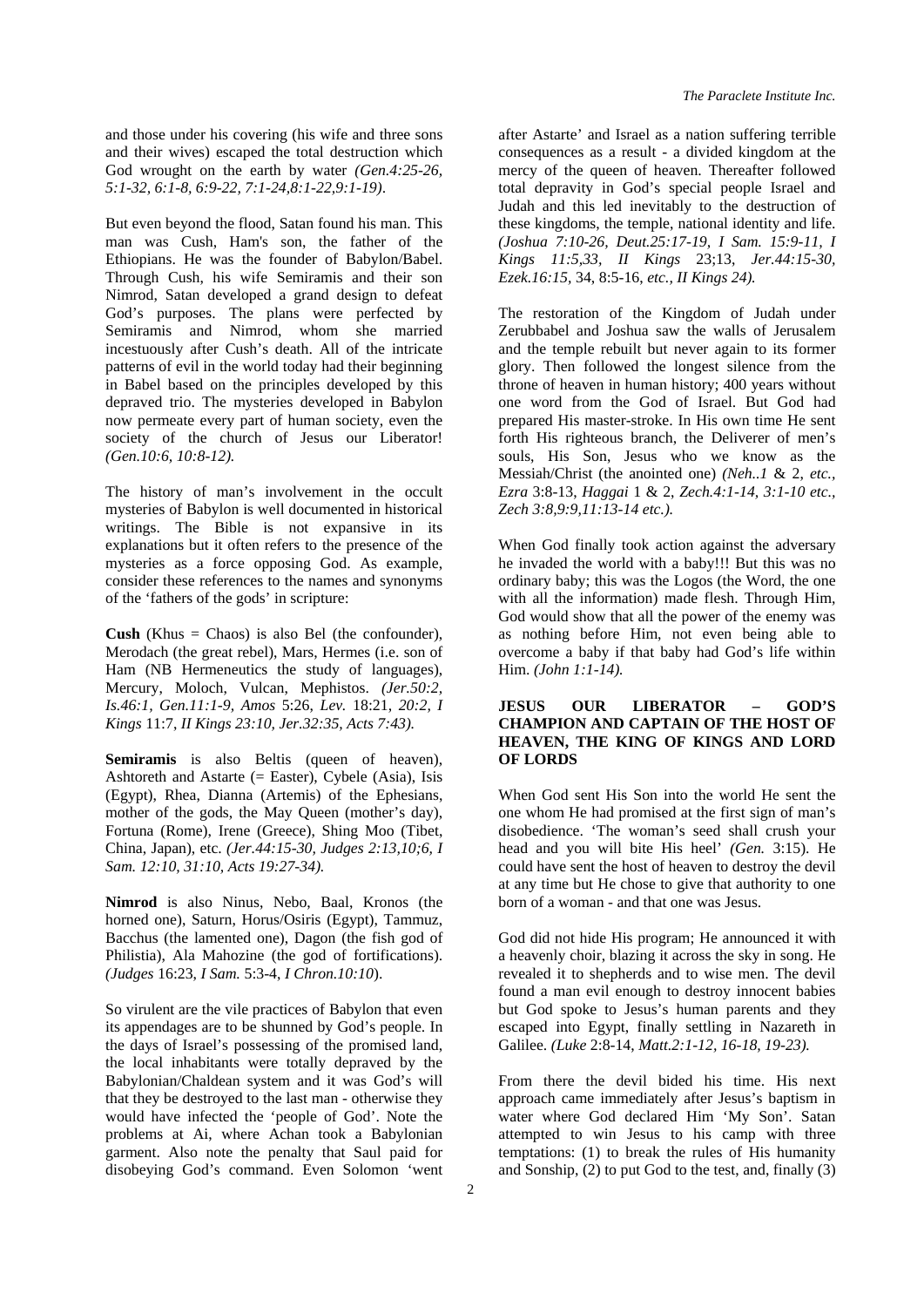and those under his covering (his wife and three sons and their wives) escaped the total destruction which God wrought on the earth by water *(Gen.4:25-26, 5:1-32, 6:1-8, 6:9-22, 7:1-24,8:1-22,9:1-19)*.

But even beyond the flood, Satan found his man. This man was Cush, Ham's son, the father of the Ethiopians. He was the founder of Babylon/Babel. Through Cush, his wife Semiramis and their son Nimrod, Satan developed a grand design to defeat God's purposes. The plans were perfected by Semiramis and Nimrod, whom she married incestuously after Cush's death. All of the intricate patterns of evil in the world today had their beginning in Babel based on the principles developed by this depraved trio. The mysteries developed in Babylon now permeate every part of human society, even the society of the church of Jesus our Liberator! *(Gen.10:6, 10:8-12).* 

The history of man's involvement in the occult mysteries of Babylon is well documented in historical writings. The Bible is not expansive in its explanations but it often refers to the presence of the mysteries as a force opposing God. As example, consider these references to the names and synonyms of the 'fathers of the gods' in scripture:

**Cush** (Khus = Chaos) is also Bel (the confounder), Merodach (the great rebel), Mars, Hermes (i.e. son of Ham (NB Hermeneutics the study of languages), Mercury, Moloch, Vulcan, Mephistos. *(Jer.50:2, Is.46:1, Gen.11:1-9, Amos* 5:26, *Lev.* 18:21, *20:2, I Kings* 11:7, *II Kings 23:10, Jer.32:35, Acts 7:43).* 

Semiramis is also Beltis (queen of heaven), Ashtoreth and Astarte  $(=$  Easter), Cybele (Asia), Isis (Egypt), Rhea, Dianna (Artemis) of the Ephesians, mother of the gods, the May Queen (mother's day), Fortuna (Rome), Irene (Greece), Shing Moo (Tibet, China, Japan), etc. *(Jer.44:15-30, Judges 2:13,10;6, I Sam. 12:10, 31:10, Acts 19:27-34).* 

**Nimrod** is also Ninus, Nebo, Baal, Kronos (the horned one), Saturn, Horus/Osiris (Egypt), Tammuz, Bacchus (the lamented one), Dagon (the fish god of Philistia), Ala Mahozine (the god of fortifications). *(Judges* 16:23, *I Sam.* 5:3-4, *I Chron.10:10*).

So virulent are the vile practices of Babylon that even its appendages are to be shunned by God's people. In the days of Israel's possessing of the promised land, the local inhabitants were totally depraved by the Babylonian/Chaldean system and it was God's will that they be destroyed to the last man - otherwise they would have infected the 'people of God'. Note the problems at Ai, where Achan took a Babylonian garment. Also note the penalty that Saul paid for disobeying God's command. Even Solomon 'went after Astarte' and Israel as a nation suffering terrible consequences as a result - a divided kingdom at the mercy of the queen of heaven. Thereafter followed total depravity in God's special people Israel and Judah and this led inevitably to the destruction of these kingdoms, the temple, national identity and life. *(Joshua 7:10-26, Deut.25:17-19, I Sam. 15:9-11, I Kings 11:5,33, II Kings* 23;13, *Jer.44:15-30, Ezek.16:15,* 34, 8:5-16, *etc., II Kings 24).* 

The restoration of the Kingdom of Judah under Zerubbabel and Joshua saw the walls of Jerusalem and the temple rebuilt but never again to its former glory. Then followed the longest silence from the throne of heaven in human history; 400 years without one word from the God of Israel. But God had prepared His master-stroke. In His own time He sent forth His righteous branch, the Deliverer of men's souls, His Son, Jesus who we know as the Messiah/Christ (the anointed one) *(Neh..1* & 2, *etc., Ezra* 3:8-13, *Haggai* 1 & 2, *Zech.4:1-14, 3:1-10 etc., Zech 3:8,9:9,11:13-14 etc.).* 

When God finally took action against the adversary he invaded the world with a baby!!! But this was no ordinary baby; this was the Logos (the Word, the one with all the information) made flesh. Through Him, God would show that all the power of the enemy was as nothing before Him, not even being able to overcome a baby if that baby had God's life within Him. *(John 1:1-14).*

## **JESUS OUR LIBERATOR – GOD'S CHAMPION AND CAPTAIN OF THE HOST OF HEAVEN, THE KING OF KINGS AND LORD OF LORDS**

When God sent His Son into the world He sent the one whom He had promised at the first sign of man's disobedience. 'The woman's seed shall crush your head and you will bite His heel' *(Gen.* 3:15). He could have sent the host of heaven to destroy the devil at any time but He chose to give that authority to one born of a woman - and that one was Jesus.

God did not hide His program; He announced it with a heavenly choir, blazing it across the sky in song. He revealed it to shepherds and to wise men. The devil found a man evil enough to destroy innocent babies but God spoke to Jesus's human parents and they escaped into Egypt, finally settling in Nazareth in Galilee. *(Luke* 2:8-14, *Matt.2:1-12, 16-18, 19-23).*

From there the devil bided his time. His next approach came immediately after Jesus's baptism in water where God declared Him 'My Son'. Satan attempted to win Jesus to his camp with three temptations: (1) to break the rules of His humanity and Sonship, (2) to put God to the test, and, finally (3)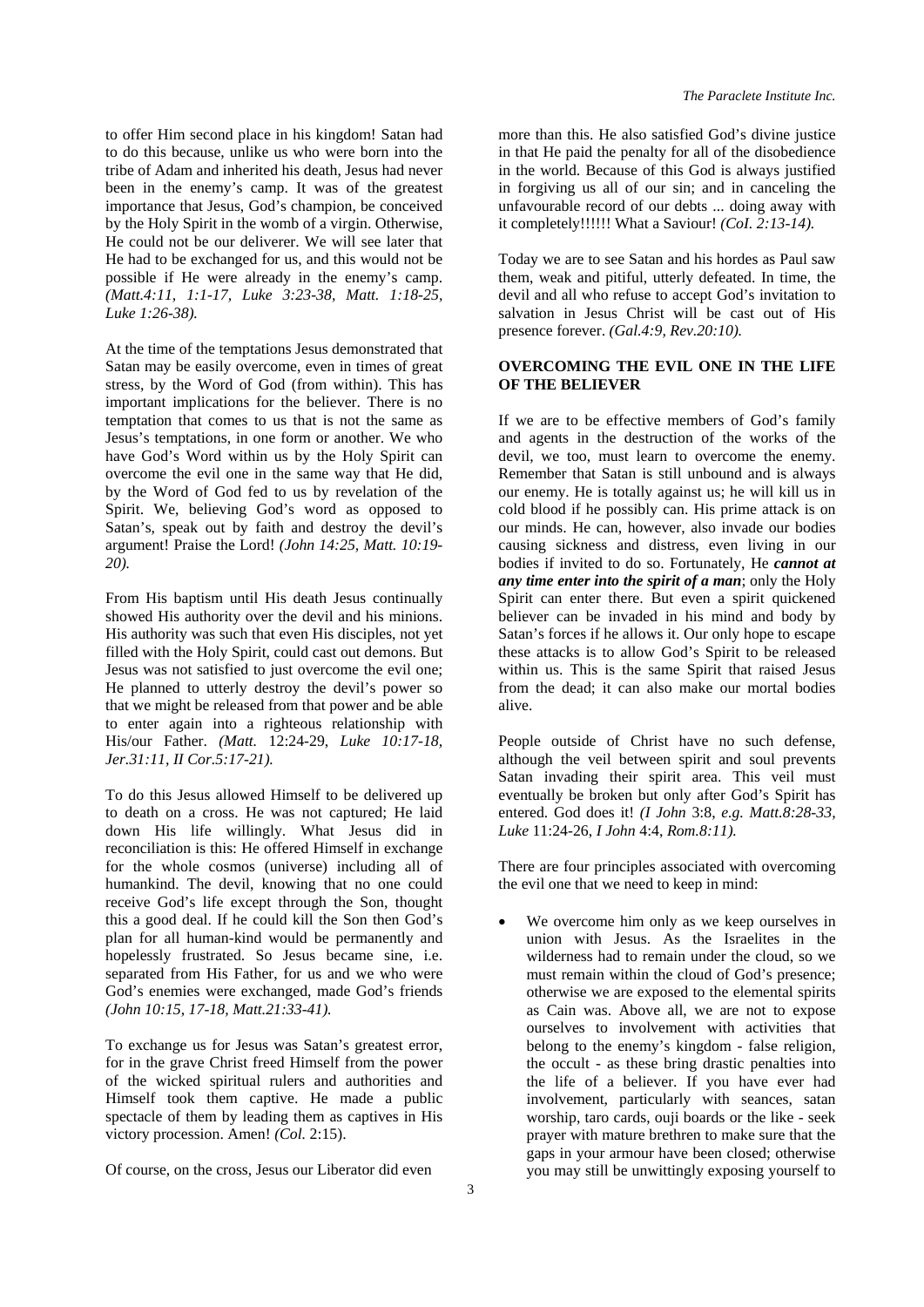to offer Him second place in his kingdom! Satan had to do this because, unlike us who were born into the tribe of Adam and inherited his death, Jesus had never been in the enemy's camp. It was of the greatest importance that Jesus, God's champion, be conceived by the Holy Spirit in the womb of a virgin. Otherwise, He could not be our deliverer. We will see later that He had to be exchanged for us, and this would not be possible if He were already in the enemy's camp. *(Matt.4:11, 1:1-17, Luke 3:23-38, Matt. 1:18-25, Luke 1:26-38).* 

At the time of the temptations Jesus demonstrated that Satan may be easily overcome, even in times of great stress, by the Word of God (from within). This has important implications for the believer. There is no temptation that comes to us that is not the same as Jesus's temptations, in one form or another. We who have God's Word within us by the Holy Spirit can overcome the evil one in the same way that He did, by the Word of God fed to us by revelation of the Spirit. We, believing God's word as opposed to Satan's, speak out by faith and destroy the devil's argument! Praise the Lord! *(John 14:25, Matt. 10:19- 20).* 

From His baptism until His death Jesus continually showed His authority over the devil and his minions. His authority was such that even His disciples, not yet filled with the Holy Spirit, could cast out demons. But Jesus was not satisfied to just overcome the evil one; He planned to utterly destroy the devil's power so that we might be released from that power and be able to enter again into a righteous relationship with His/our Father. *(Matt.* 12:24-29, *Luke 10:17-18, Jer.31:11, II Cor.5:17-21).* 

To do this Jesus allowed Himself to be delivered up to death on a cross. He was not captured; He laid down His life willingly. What Jesus did in reconciliation is this: He offered Himself in exchange for the whole cosmos (universe) including all of humankind. The devil, knowing that no one could receive God's life except through the Son, thought this a good deal. If he could kill the Son then God's plan for all human-kind would be permanently and hopelessly frustrated. So Jesus became sine, i.e. separated from His Father, for us and we who were God's enemies were exchanged, made God's friends *(John 10:15, 17-18, Matt.21:33-41).* 

To exchange us for Jesus was Satan's greatest error, for in the grave Christ freed Himself from the power of the wicked spiritual rulers and authorities and Himself took them captive. He made a public spectacle of them by leading them as captives in His victory procession. Amen! *(Col.* 2:15).

Of course, on the cross, Jesus our Liberator did even

more than this. He also satisfied God's divine justice in that He paid the penalty for all of the disobedience in the world. Because of this God is always justified in forgiving us all of our sin; and in canceling the unfavourable record of our debts ... doing away with it completely!!!!!! What a Saviour! *(CoI. 2:13-14).* 

Today we are to see Satan and his hordes as Paul saw them, weak and pitiful, utterly defeated. In time, the devil and all who refuse to accept God's invitation to salvation in Jesus Christ will be cast out of His presence forever. *(Gal.4:9, Rev.20:10).* 

#### **OVERCOMING THE EVIL ONE IN THE LIFE OF THE BELIEVER**

If we are to be effective members of God's family and agents in the destruction of the works of the devil, we too, must learn to overcome the enemy. Remember that Satan is still unbound and is always our enemy. He is totally against us; he will kill us in cold blood if he possibly can. His prime attack is on our minds. He can, however, also invade our bodies causing sickness and distress, even living in our bodies if invited to do so. Fortunately, He *cannot at any time enter into the spirit of a man*; only the Holy Spirit can enter there. But even a spirit quickened believer can be invaded in his mind and body by Satan's forces if he allows it. Our only hope to escape these attacks is to allow God's Spirit to be released within us. This is the same Spirit that raised Jesus from the dead; it can also make our mortal bodies alive.

People outside of Christ have no such defense, although the veil between spirit and soul prevents Satan invading their spirit area. This veil must eventually be broken but only after God's Spirit has entered. God does it! *(I John* 3:8, *e.g. Matt.8:28-33, Luke* 11:24-26, *I John* 4:4, *Rom.8:11).* 

There are four principles associated with overcoming the evil one that we need to keep in mind:

We overcome him only as we keep ourselves in union with Jesus. As the Israelites in the wilderness had to remain under the cloud, so we must remain within the cloud of God's presence; otherwise we are exposed to the elemental spirits as Cain was. Above all, we are not to expose ourselves to involvement with activities that belong to the enemy's kingdom - false religion, the occult - as these bring drastic penalties into the life of a believer. If you have ever had involvement, particularly with seances, satan worship, taro cards, ouji boards or the like - seek prayer with mature brethren to make sure that the gaps in your armour have been closed; otherwise you may still be unwittingly exposing yourself to